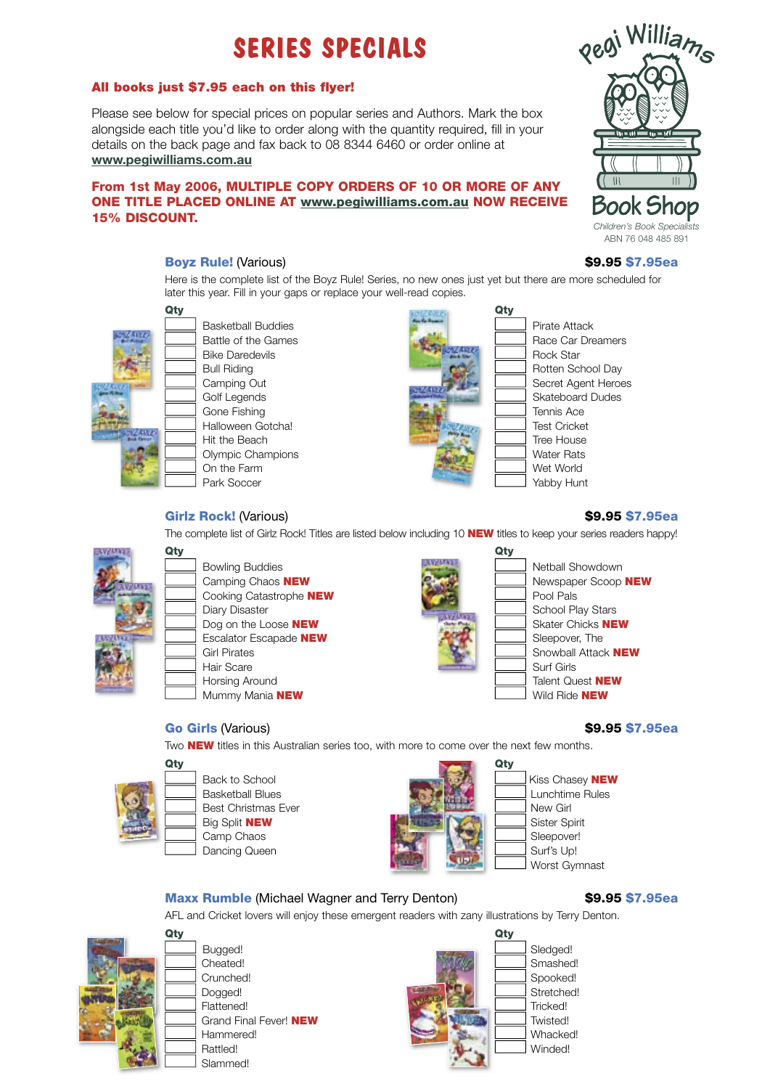# **SERIES SPECIALS**

#### All books just \$7.95 each on this flyer!

Please see below for special prices on popular series and Authors. Mark the box alongside each title you'd like to order along with the quantity required, fill in your details on the back page and fax back to 08 8344 6460 or order online at **www.pegiwilliams.com.au**

### From 1st May 2006, MULTIPLE COPY ORDERS OF 10 OR MORE OF ANY ONE TITLE PLACED ONLINE AT www.pegiwilliams.com.au NOW RECEIVE 15% DISCOUNT.

## Boyz Rule! (Various) **\$9.95 \$7.95ea**

Here is the complete list of the Boyz Rule! Series, no new ones just yet but there are more scheduled for later this year. Fill in your gaps or replace your well-read copies.



Basketball Buddies **Pirate Attack** Pirate Attack Battle of the Games **Race Car Dreamers** Race Car Dreamers Bike Daredevils **Rock Star Rock Star** Rock Star Bull Riding **Rotten School Day** Golf Legends Skateboard Dudes Gone Fishing Tennis Ace Halloween Gotcha! Test Cricket Hit the Beach **Tree House** Olympic Champions **Water Rats** Water Rats On the Farm **Wet World** Wet World Park Soccer The Tabby Hunt



Camping Out Camping Out Secret Agent Heroes

### Girlz Rock! (Various) \$9.95 \$7.95ea

Qty Qty Bowling Buddies Netball Showdown Netball Showdown Cooking Catastrophe **NEW Pool Pals** Pool Pals Escalator Escapade **NEW** Sleepover, The Hair Scare Surf Girls Surf Girls Mummy Mania NEW Wild Ride NEW

### **Go Girls (Various) 69.95 \$7.95ea**

Two **NEW** titles in this Australian series too, with more to come over the next few months.





Worst Gymnast

### Maxx Rumble (Michael Wagner and Terry Denton) \$9.95 \$7.95ea

AFL and Cricket lovers will enjoy these emergent readers with zany illustrations by Terry Denton.



Slammed!



The complete list of Girlz Rock! Titles are listed below including 10 **NEW** titles to keep your series readers happy!

Camping Chaos NEW **Newspaper Scoop NEW** Newspaper Scoop NEW Diary Disaster School Play Stars School Play Stars School Play Stars Stars Stars Stars Stars Stars Stars Stars Dog on the Loose **NEW** Skater Chicks **NEW** Girl Pirates **Structure Snowball Attack NEW** Horsing Around **Talent Quest NEW**